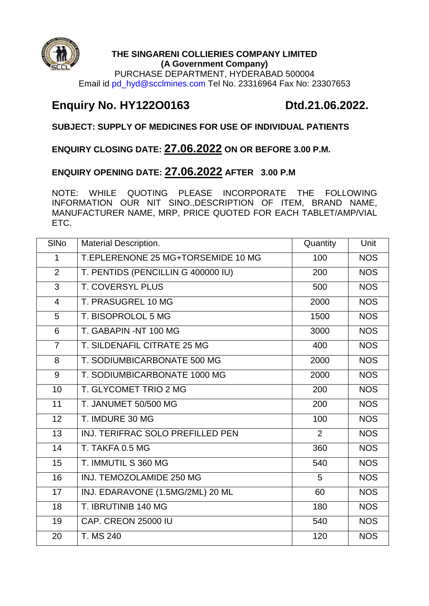

### **THE SINGARENI COLLIERIES COMPANY LIMITED (A Government Company)**

PURCHASE DEPARTMENT, HYDERABAD 500004 Email id pd\_hyd@scclmines.com Tel No. 23316964 Fax No: 23307653

# **Enquiry No. HY122O0163 Dtd.21.06.2022.**

## **SUBJECT: SUPPLY OF MEDICINES FOR USE OF INDIVIDUAL PATIENTS**

## **ENQUIRY CLOSING DATE: 27.06.2022 ON OR BEFORE 3.00 P.M.**

## **ENQUIRY OPENING DATE: 27.06.2022 AFTER 3.00 P.M**

NOTE: WHILE QUOTING PLEASE INCORPORATE THE FOLLOWING INFORMATION OUR NIT SINO.,DESCRIPTION OF ITEM, BRAND NAME, MANUFACTURER NAME, MRP, PRICE QUOTED FOR EACH TABLET/AMP/VIAL ETC.

| <b>SINo</b>     | <b>Material Description.</b>       | Quantity | Unit       |
|-----------------|------------------------------------|----------|------------|
| 1               | T.EPLERENONE 25 MG+TORSEMIDE 10 MG | 100      | <b>NOS</b> |
| $\overline{2}$  | T. PENTIDS (PENCILLIN G 400000 IU) | 200      | <b>NOS</b> |
| 3               | <b>T. COVERSYL PLUS</b>            | 500      | <b>NOS</b> |
| $\overline{4}$  | T. PRASUGREL 10 MG                 | 2000     | <b>NOS</b> |
| 5               | T. BISOPROLOL 5 MG                 | 1500     | <b>NOS</b> |
| 6               | T. GABAPIN -NT 100 MG              | 3000     | <b>NOS</b> |
| $\overline{7}$  | T. SILDENAFIL CITRATE 25 MG        | 400      | <b>NOS</b> |
| 8               | T. SODIUMBICARBONATE 500 MG        | 2000     | <b>NOS</b> |
| 9               | T. SODIUMBICARBONATE 1000 MG       | 2000     | <b>NOS</b> |
| 10              | T. GLYCOMET TRIO 2 MG              | 200      | <b>NOS</b> |
| 11              | T. JANUMET 50/500 MG               | 200      | <b>NOS</b> |
| 12              | T. IMDURE 30 MG                    | 100      | <b>NOS</b> |
| 13              | INJ. TERIFRAC SOLO PREFILLED PEN   | 2        | <b>NOS</b> |
| 14              | T. TAKFA 0.5 MG                    | 360      | <b>NOS</b> |
| 15              | T. IMMUTIL S 360 MG                | 540      | <b>NOS</b> |
| 16              | INJ. TEMOZOLAMIDE 250 MG           | 5        | <b>NOS</b> |
| $\overline{17}$ | INJ. EDARAVONE (1.5MG/2ML) 20 ML   | 60       | <b>NOS</b> |
| 18              | T. IBRUTINIB 140 MG                | 180      | <b>NOS</b> |
| 19              | CAP. CREON 25000 IU                | 540      | <b>NOS</b> |
| 20              | T. MS 240                          | 120      | <b>NOS</b> |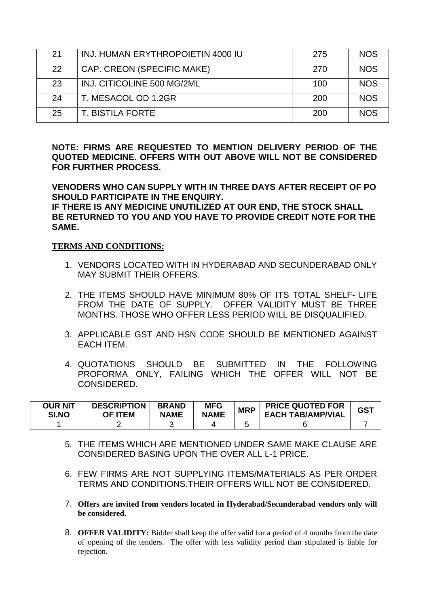| 21 | INJ. HUMAN ERYTHROPOIETIN 4000 IU | 275 | <b>NOS</b> |
|----|-----------------------------------|-----|------------|
| 22 | CAP. CREON (SPECIFIC MAKE)        | 270 | <b>NOS</b> |
| 23 | INJ. CITICOLINE 500 MG/2ML        | 100 | <b>NOS</b> |
| 24 | T. MESACOL OD 1.2GR               | 200 | <b>NOS</b> |
| 25 | T. BISTILA FORTE                  | 200 | <b>NOS</b> |

**NOTE: FIRMS ARE REQUESTED TO MENTION DELIVERY PERIOD OF THE QUOTED MEDICINE. OFFERS WITH OUT ABOVE WILL NOT BE CONSIDERED FOR FURTHER PROCESS.** 

**VENODERS WHO CAN SUPPLY WITH IN THREE DAYS AFTER RECEIPT OF PO SHOULD PARTICIPATE IN THE ENQUIRY.**

**IF THERE IS ANY MEDICINE UNUTILIZED AT OUR END, THE STOCK SHALL BE RETURNED TO YOU AND YOU HAVE TO PROVIDE CREDIT NOTE FOR THE SAME.**

### **TERMS AND CONDITIONS:**

- 1. VENDORS LOCATED WITH IN HYDERABAD AND SECUNDERABAD ONLY MAY SUBMIT THEIR OFFERS.
- 2. THE ITEMS SHOULD HAVE MINIMUM 80% OF ITS TOTAL SHELF- LIFE FROM THE DATE OF SUPPLY. OFFER VALIDITY MUST BE THREE MONTHS. THOSE WHO OFFER LESS PERIOD WILL BE DISQUALIFIED.
- 3. APPLICABLE GST AND HSN CODE SHOULD BE MENTIONED AGAINST EACH ITEM.
- 4. QUOTATIONS SHOULD BE SUBMITTED IN THE FOLLOWING PROFORMA ONLY, FAILING WHICH THE OFFER WILL NOT BE CONSIDERED.

| OUR NIT<br>SI.NO | <b>DESCRIPTION</b><br>OF ITEM | <b>BRAND</b><br><b>NAME</b> | <b>MFG</b><br><b>NAME</b> | <b>MRP</b> | <b>PRICE QUOTED FOR</b><br><b>EACH TAB/AMP/VIAL</b> | <b>GST</b> |
|------------------|-------------------------------|-----------------------------|---------------------------|------------|-----------------------------------------------------|------------|
|                  |                               |                             |                           |            |                                                     |            |

- 5. THE ITEMS WHICH ARE MENTIONED UNDER SAME MAKE CLAUSE ARE CONSIDERED BASING UPON THE OVER ALL L-1 PRICE.
- 6. FEW FIRMS ARE NOT SUPPLYING ITEMS/MATERIALS AS PER ORDER TERMS AND CONDITIONS.THEIR OFFERS WILL NOT BE CONSIDERED.
- 7. **Offers are invited from vendors located in Hyderabad/Secunderabad vendors only will be considered.**
- 8. **OFFER VALIDITY:** Bidder shall keep the offer valid for a period of 4 months from the date of opening of the tenders. The offer with less validity period than stipulated is liable for rejection.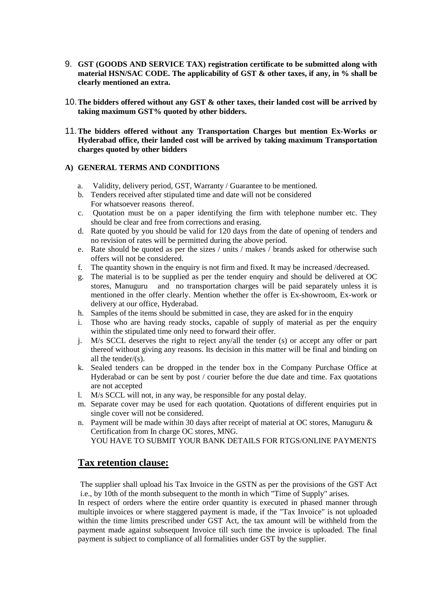- 9. **GST (GOODS AND SERVICE TAX) registration certificate to be submitted along with material HSN/SAC CODE. The applicability of GST & other taxes, if any, in % shall be clearly mentioned an extra.**
- 10.**The bidders offered without any GST & other taxes, their landed cost will be arrived by taking maximum GST% quoted by other bidders.**
- 11.**The bidders offered without any Transportation Charges but mention Ex-Works or Hyderabad office, their landed cost will be arrived by taking maximum Transportation charges quoted by other bidders**

#### **A) GENERAL TERMS AND CONDITIONS**

- a. Validity, delivery period, GST, Warranty / Guarantee to be mentioned.
- b. Tenders received after stipulated time and date will not be considered For whatsoever reasons thereof.
- c. Quotation must be on a paper identifying the firm with telephone number etc. They should be clear and free from corrections and erasing.
- d. Rate quoted by you should be valid for 120 days from the date of opening of tenders and no revision of rates will be permitted during the above period.
- e. Rate should be quoted as per the sizes / units / makes / brands asked for otherwise such offers will not be considered.
- f. The quantity shown in the enquiry is not firm and fixed. It may be increased /decreased.
- g. The material is to be supplied as per the tender enquiry and should be delivered at OC stores, Manuguru and no transportation charges will be paid separately unless it is mentioned in the offer clearly. Mention whether the offer is Ex-showroom, Ex-work or delivery at our office, Hyderabad.
- h. Samples of the items should be submitted in case, they are asked for in the enquiry
- i. Those who are having ready stocks, capable of supply of material as per the enquiry within the stipulated time only need to forward their offer.
- j. M/s SCCL deserves the right to reject any/all the tender (s) or accept any offer or part thereof without giving any reasons. Its decision in this matter will be final and binding on all the tender/(s).
- k. Sealed tenders can be dropped in the tender box in the Company Purchase Office at Hyderabad or can be sent by post / courier before the due date and time. Fax quotations are not accepted
- l. M/s SCCL will not, in any way, be responsible for any postal delay.
- m. Separate cover may be used for each quotation. Quotations of different enquiries put in single cover will not be considered.
- n. Payment will be made within 30 days after receipt of material at OC stores, Manuguru & Certification from In charge OC stores, MNG. YOU HAVE TO SUBMIT YOUR BANK DETAILS FOR RTGS/ONLINE PAYMENTS

## **Tax retention clause:**

The supplier shall upload his Tax Invoice in the GSTN as per the provisions of the GST Act i.e., by 10th of the month subsequent to the month in which "Time of Supply" arises.

In respect of orders where the entire order quantity is executed in phased manner through multiple invoices or where staggered payment is made, if the "Tax Invoice" is not uploaded within the time limits prescribed under GST Act, the tax amount will be withheld from the payment made against subsequent Invoice till such time the invoice is uploaded. The final payment is subject to compliance of all formalities under GST by the supplier.